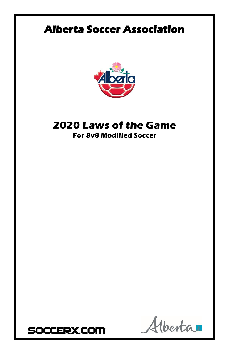# **Alberta Soccer Association**



## **2020 Laws of the Game For 8v8 Modified Soccer**



Venta  $\mathcal{A}$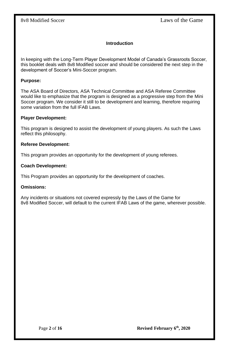### **Introduction**

In keeping with the Long-Term Player Development Model of Canada's Grassroots Soccer, this booklet deals with 8v8 Modified soccer and should be considered the next step in the development of Soccer's Mini-Soccer program.

#### **Purpose:**

The ASA Board of Directors, ASA Technical Committee and ASA Referee Committee would like to emphasize that the program is designed as a progressive step from the Mini Soccer program. We consider it still to be development and learning, therefore requiring some variation from the full IFAB Laws.

#### **Player Development:**

This program is designed to assist the development of young players. As such the Laws reflect this philosophy.

#### **Referee Development:**

This program provides an opportunity for the development of young referees.

#### **Coach Development:**

This Program provides an opportunity for the development of coaches.

#### **Omissions:**

Any incidents or situations not covered expressly by the Laws of the Game for 8v8 Modified Soccer, will default to the current IFAB Laws of the game, wherever possible.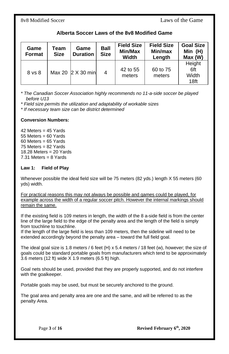8v8 Modified Soccer Laws of the Game

| Alberta Soccer Laws of the 8v8 Modified Game |  |  |  |
|----------------------------------------------|--|--|--|
|----------------------------------------------|--|--|--|

| Game<br>Format | Team<br><b>Size</b> | Game<br><b>Duration</b> | <b>Ball</b><br><b>Size</b> | <b>Field Size</b><br>Min/Max<br>Width | <b>Field Size</b><br>Min/max<br>Length | <b>Goal Size</b><br>Min $(H)$<br>Max (W)   |
|----------------|---------------------|-------------------------|----------------------------|---------------------------------------|----------------------------------------|--------------------------------------------|
| 8 vs 8         |                     | Max 20 2 X 30 min       | 4                          | 42 to 55<br>meters                    | 60 to 75<br>meters                     | Height<br>6ft<br>Width<br>18 <sub>ft</sub> |

*\* The Canadian Soccer Association highly recommends no 11-a-side soccer be played before U13*

*\* Field size permits the utilization and adaptability of workable sizes*

*\* If necessary team size can be district determined*

### **Conversion Numbers:**

 $42$  Meters =  $45$  Yards 55 Meters = 60 Yards 60 Meters = 65 Yards 75 Meters = 82 Yards 18.28 Meters = 20 Yards 7.31 Meters = 8 Yards

#### **Law 1: Field of Play**

Whenever possible the ideal field size will be 75 meters (82 yds.) length X 55 meters (60 yds) width.

For practical reasons this may not always be possible and games could be played, for example across the width of a regular soccer pitch. However the internal markings should remain the same.

If the existing field is 109 meters in length, the width of the 8 a-side field is from the center line of the large field to the edge of the penalty area and the length of the field is simply from touchline to touchline.

If the length of the large field is less than 109 meters, then the sideline will need to be extended accordingly beyond the penalty area – toward the full field goal.

The ideal goal size is 1.8 meters / 6 feet (H) x 5.4 meters / 18 feet (w), however; the size of goals could be standard portable goals from manufacturers which tend to be approximately 3.6 meters (12 ft) wide X 1.9 meters (6.5 ft) high.

Goal nets should be used, provided that they are properly supported, and do not interfere with the goalkeeper.

Portable goals may be used, but must be securely anchored to the ground.

The goal area and penalty area are one and the same, and will be referred to as the penalty Area.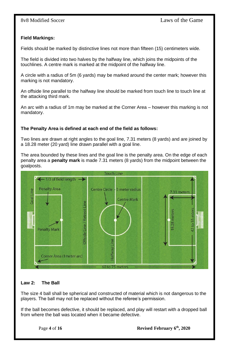### **Field Markings:**

Fields should be marked by distinctive lines not more than fifteen (15) centimeters wide.

The field is divided into two halves by the halfway line, which joins the midpoints of the touchlines. A centre mark is marked at the midpoint of the halfway line.

A circle with a radius of 5m (6 yards) may be marked around the center mark; however this marking is not mandatory.

An offside line parallel to the halfway line should be marked from touch line to touch line at the attacking third mark.

An arc with a radius of 1m may be marked at the Corner Area – however this marking is not mandatory.

### **The Penalty Area is defined at each end of the field as follows:**

Two lines are drawn at right angles to the goal line, 7.31 meters (8 yards) and are joined by a 18.28 meter (20 yard) line drawn parallel with a goal line.

The area bounded by these lines and the goal line is the penalty area. On the edge of each penalty area a **penalty mark** is made 7.31 meters (8 yards) from the midpoint between the goalposts.



### **Law 2: The Ball**

The size 4 ball shall be spherical and constructed of material which is not dangerous to the players. The ball may not be replaced without the referee's permission.

If the ball becomes defective, it should be replaced, and play will restart with a dropped ball from where the ball was located when it became defective.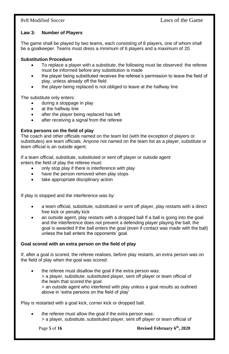#### **Law 3: Number of Players**

The game shall be played by two teams, each consisting of 8 players, one of whom shall be a goalkeeper. Teams must dress a minimum of 6 players and a maximum of 20.

#### **Substitution Procedure**

- To replace a player with a substitute, the following must be observed: the referee must be informed before any substitution is made
- the player being substituted receives the referee's permission to leave the field of play, unless already off the field
- the player being replaced is not obliged to leave at the halfway line

The substitute only enters:

- during a stoppage in play
- at the halfway line
- after the player being replaced has left
- after receiving a signal from the referee

#### **Extra persons on the field of play**

The coach and other officials named on the team list (with the exception of players or substitutes) are team officials. Anyone not named on the team list as a player, substitute or team official is an outside agent.

If a team official, substitute, substituted or sent off player or outside agent enters the field of play the referee must:

- only stop play if there is interference with play
- have the person removed when play stops
- take appropriate disciplinary action

If play is stopped and the interference was by:

- a team official, substitute, substituted or sent off player, play restarts with a direct free kick or penalty kick
- an outside agent, play restarts with a dropped ball If a ball is going into the goal and the interference does not prevent a defending player playing the ball, the goal is awarded if the ball enters the goal (even if contact was made with the ball) unless the ball enters the opponents' goal.

#### **Goal scored with an extra person on the field of play**

If, after a goal is scored, the referee realises, before play restarts, an extra person was on the field of play when the goal was scored:

the referee must disallow the goal if the extra person was: > a player, substitute, substituted player, sent off player or team official of the team that scored the goal > an outside agent who interfered with play unless a goal results as outlined above in 'extra persons on the field of play'

Play is restarted with a goal kick, corner kick or dropped ball.

the referee must allow the goal if the extra person was: > a player, substitute, substituted player, sent off player or team official of

Page **5** of **16 Revised February 6<sup>th</sup>, 2020**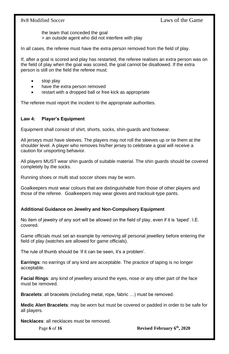the team that conceded the goal > an outside agent who did not interfere with play

In all cases, the referee must have the extra person removed from the field of play.

If, after a goal is scored and play has restarted, the referee realises an extra person was on the field of play when the goal was scored, the goal cannot be disallowed. If the extra person is still on the field the referee must:

- stop play
- have the extra person removed
- restart with a dropped ball or free kick as appropriate

The referee must report the incident to the appropriate authorities.

### **Law 4: Player's Equipment**

Equipment shall consist of shirt, shorts, socks, shin-guards and footwear.

All jerseys must have sleeves. The players may not roll the sleeves up or tie them at the shoulder level. A player who removes his/her jersey to celebrate a goal will receive a caution for unsporting behavior.

All players MUST wear shin guards of suitable material. The shin guards should be covered completely by the socks.

Running shoes or multi stud soccer shoes may be worn.

Goalkeepers must wear colours that are distinguishable from those of other players and those of the referee. Goalkeepers may wear gloves and tracksuit-type pants.

### **Additional Guidance on Jewelry and Non-Compulsory Equipment**

No item of jewelry of any sort will be allowed on the field of play, even if it is 'taped'. I.E. covered.

Game officials must set an example by removing all personal jewellery before entering the field of play (watches are allowed for game officials).

The rule of thumb should be 'if it can be seen, it's a problem'.

**Earrings**: no earrings of any kind are acceptable. The practice of taping is no longer acceptable.

**Facial Rings**: any kind of jewellery around the eyes, nose or any other part of the face must be removed.

**Bracelets**: all bracelets (including metal, rope, fabric …) must be removed.

**Medic Alert Bracelets**: may be worn but must be covered or padded in order to be safe for all players.

**Necklaces**: all necklaces must be removed.

Page 6 of 16 **Revised February 6<sup>th</sup>, 2020**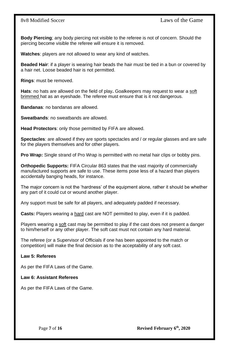**Body Piercing**; any body piercing not visible to the referee is not of concern. Should the piercing become visible the referee will ensure it is removed.

**Watches**: players are not allowed to wear any kind of watches.

**Beaded Hair**: if a player is wearing hair beads the hair must be tied in a bun or covered by a hair net. Loose beaded hair is not permitted.

**Rings**: must be removed.

**Hats**: no hats are allowed on the field of play**.** Goalkeepers may request to wear a soft brimmed hat as an eyeshade. The referee must ensure that is it not dangerous.

**Bandanas**: no bandanas are allowed.

**Sweatbands**: no sweatbands are allowed.

**Head Protectors**: only those permitted by FIFA are allowed.

**Spectacles**: are allowed if they are sports spectacles and / or regular glasses and are safe for the players themselves and for other players.

**Pro Wrap:** Single strand of Pro Wrap is permitted with no metal hair clips or bobby pins.

**Orthopedic Supports:** FIFA Circular 863 states that the vast majority of commercially manufactured supports are safe to use. These items pose less of a hazard than players accidentally banging heads, for instance.

The major concern is not the 'hardness' of the equipment alone, rather it should be whether any part of it could cut or wound another player.

Any support must be safe for all players, and adequately padded if necessary.

**Casts:** Players wearing a hard cast are NOT permitted to play, even if it is padded.

Players wearing a soft cast may be permitted to play if the cast does not present a danger to him/herself or any other player. The soft cast must not contain any hard material.

The referee (or a Supervisor of Officials if one has been appointed to the match or competition) will make the final decision as to the acceptability of any soft cast.

#### **Law 5: Referees**

As per the FIFA Laws of the Game.

#### **Law 6: Assistant Referees**

As per the FIFA Laws of the Game.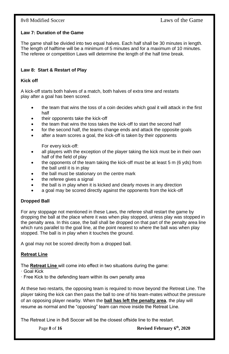### **Law 7: Duration of the Game**

The game shall be divided into two equal halves. Each half shall be 30 minutes in length. The length of halftime will be a minimum of 5 minutes and for a maximum of 10 minutes. The referee or competition Laws will determine the length of the half time break.

#### **Law 8: Start & Restart of Play**

#### **Kick off**

A kick-off starts both halves of a match, both halves of extra time and restarts play after a goal has been scored.

- the team that wins the toss of a coin decides which goal it will attack in the first half
- their opponents take the kick-off
- the team that wins the toss takes the kick-off to start the second half
- for the second half, the teams change ends and attack the opposite goals
- after a team scores a goal, the kick-off is taken by their opponents

For every kick-off:

- all players with the exception of the player taking the kick must be in their own half of the field of play
- the opponents of the team taking the kick-off must be at least 5 m (6 yds) from the ball until it is in play
- the ball must be stationary on the centre mark
- the referee gives a signal
- the ball is in play when it is kicked and clearly moves in any direction
- a goal may be scored directly against the opponents from the kick-off

### **Dropped Ball**

For any stoppage not mentioned in these Laws, the referee shall restart the game by dropping the ball at the place where it was when play stopped, unless play was stopped in the penalty area. In this case, the ball shall be dropped on that part of the penalty area line which runs parallel to the goal line, at the point nearest to where the ball was when play stopped. The ball is in play when it touches the ground.

A goal may not be scored directly from a dropped ball.

### **Retreat Line**

The **Retreat Line** will come into effect in two situations during the game:

- · Goal Kick
- · Free Kick to the defending team within its own penalty area

At these two restarts, the opposing team is required to move beyond the Retreat Line. The player taking the kick can then pass the ball to one of his team-mates without the pressure of an opposing player nearby. When the **ball has left the penalty area**, the play will resume as normal and the "opposing" team can move inside the Retreat Line.

The Retreat Line in 8v8 Soccer will be the closest offside line to the restart.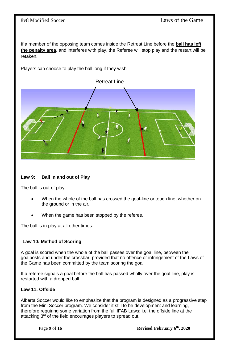If a member of the opposing team comes inside the Retreat Line before the **ball has left the penalty area**, and interferes with play, the Referee will stop play and the restart will be retaken.

Players can choose to play the ball long if they wish.



#### **Law 9: Ball in and out of Play**

The ball is out of play:

- When the whole of the ball has crossed the goal-line or touch line, whether on the ground or in the air.
- When the game has been stopped by the referee.

The ball is in play at all other times.

#### **Law 10: Method of Scoring**

A goal is scored when the whole of the ball passes over the goal line, between the goalposts and under the crossbar, provided that no offence or infringement of the Laws of the Game has been committed by the team scoring the goal.

If a referee signals a goal before the ball has passed wholly over the goal line, play is restarted with a dropped ball.

#### **Law 11: Offside**

Alberta Soccer would like to emphasize that the program is designed as a progressive step from the Mini Soccer program. We consider it still to be development and learning, therefore requiring some variation from the full IFAB Laws; i.e. the offside line at the attacking 3<sup>rd</sup> of the field encourages players to spread out.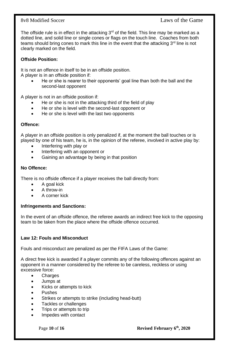### 8v8 Modified Soccer Laws of the Game

The offside rule is in effect in the attacking  $3<sup>rd</sup>$  of the field. This line may be marked as a dotted line, and solid line or single cones or flags on the touch line. Coaches from both teams should bring cones to mark this line in the event that the attacking  $3<sup>rd</sup>$  line is not clearly marked on the field.

### **Offside Position:**

It is not an offence in itself to be in an offside position. A player is in an offside position if:

• He or she is nearer to their opponents' goal line than both the ball and the second-last opponent

A player is not in an offside position if:

- He or she is not in the attacking third of the field of play
- He or she is level with the second-last opponent or
- He or she is level with the last two opponents

#### **Offence:**

A player in an offside position is only penalized if, at the moment the ball touches or is played by one of his team, he is, in the opinion of the referee, involved in active play by:

- Interfering with play or
- Interfering with an opponent or
- Gaining an advantage by being in that position

#### **No Offence:**

There is no offside offence if a player receives the ball directly from:

- A goal kick
- A throw-in
- A corner kick

#### **Infringements and Sanctions:**

In the event of an offside offence, the referee awards an indirect free kick to the opposing team to be taken from the place where the offside offence occurred.

#### **Law 12: Fouls and Misconduct**

Fouls and misconduct are penalized as per the FIFA Laws of the Game:

A direct free kick is awarded if a player commits any of the following offences against an opponent in a manner considered by the referee to be careless, reckless or using excessive force:

- **Charges**
- Jumps at
- Kicks or attempts to kick
- Pushes
- Strikes or attempts to strike (including head-butt)
- Tackles or challenges
- Trips or attempts to trip
- Impedes with contact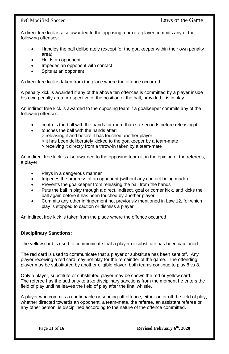A direct free kick is also awarded to the opposing team if a player commits any of the following offenses:

- Handles the ball deliberately (except for the goalkeeper within their own penalty area)
- Holds an opponent
- Impedes an opponent with contact
- Spits at an opponent

A direct free kick is taken from the place where the offence occurred.

A penalty kick is awarded if any of the above ten offences is committed by a player inside his own penalty area, irrespective of the position of the ball, provided it is in play.

An indirect free kick is awarded to the opposing team if a goalkeeper commits any of the following offenses:

- controls the ball with the hands for more than six seconds before releasing it
- touches the ball with the hands after:

> releasing it and before it has touched another player

- > it has been deliberately kicked to the goalkeeper by a team-mate
- > receiving it directly from a throw-in taken by a team-mate

An indirect free kick is also awarded to the opposing team if, in the opinion of the referees, a player:

- Plays in a dangerous manner
- Impedes the progress of an opponent (without any contact being made)
- Prevents the goalkeeper from releasing the ball from the hands
- Puts the ball in play through a direct, indirect, goal or corner kick, and kicks the ball again before it has been touched by another player
- Commits any other infringement not previously mentioned in Law 12, for which play is stopped to caution or dismiss a player

An indirect free kick is taken from the place where the offence occurred

#### **Disciplinary Sanctions:**

The yellow card is used to communicate that a player or substitute has been cautioned.

The red card is used to communicate that a player or substitute has been sent off. Any player receiving a red card may not play for the remainder of the game. The offending player may be substituted by another eligible player; both teams continue to play 8 vs 8.

Only a player, substitute or substituted player may be shown the red or yellow card. The referee has the authority to take disciplinary sanctions from the moment he enters the field of play until he leaves the field of play after the final whistle.

A player who commits a cautionable or sending-off offence, either on or off the field of play, whether directed towards an opponent, a team-mate, the referee, an assistant referee or any other person, is disciplined according to the nature of the offence committed.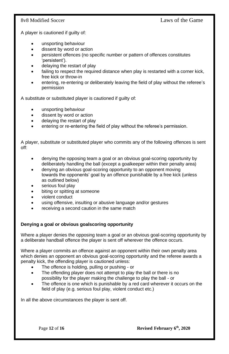A player is cautioned if guilty of:

- unsporting behaviour
- dissent by word or action
- persistent offences (no specific number or pattern of offences constitutes 'persistent').
- delaying the restart of play
- failing to respect the required distance when play is restarted with a corner kick, free kick or throw-in
- entering, re-entering or deliberately leaving the field of play without the referee's permission

A substitute or substituted player is cautioned if guilty of:

- unsporting behaviour
- dissent by word or action
- delaving the restart of play
- entering or re-entering the field of play without the referee's permission.

A player, substitute or substituted player who commits any of the following offences is sent off:

- denying the opposing team a goal or an obvious goal-scoring opportunity by deliberately handling the ball (except a goalkeeper within their penalty area)
- denying an obvious goal-scoring opportunity to an opponent moving towards the opponents' goal by an offence punishable by a free kick (unless as outlined below)
- serious foul play
- biting or spitting at someone
- violent conduct
- using offensive, insulting or abusive language and/or gestures
- receiving a second caution in the same match

### **Denying a goal or obvious goalscoring opportunity**

Where a player denies the opposing team a goal or an obvious goal-scoring opportunity by a deliberate handball offence the player is sent off wherever the offence occurs.

Where a player commits an offence against an opponent within their own penalty area which denies an opponent an obvious goal-scoring opportunity and the referee awards a penalty kick, the offending player is cautioned unless:

- The offence is holding, pulling or pushing or
- The offending player does not attempt to play the ball or there is no possibility for the player making the challenge to play the ball - or
- The offence is one which is punishable by a red card wherever it occurs on the field of play (e.g. serious foul play, violent conduct etc.)

In all the above circumstances the player is sent off.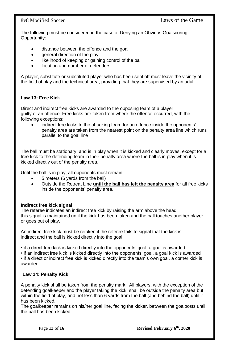### 8v8 Modified Soccer Laws of the Game

The following must be considered in the case of Denying an Obvious Goalscoring Opportunity:

- distance between the offence and the goal
- general direction of the play
- likelihood of keeping or gaining control of the ball
- location and number of defenders

A player, substitute or substituted player who has been sent off must leave the vicinity of the field of play and the technical area, providing that they are supervised by an adult.

### **Law 13: Free Kick**

Direct and indirect free kicks are awarded to the opposing team of a player guilty of an offence. Free kicks are taken from where the offence occurred, with the following exceptions:

indirect free kicks to the attacking team for an offence inside the opponents' penalty area are taken from the nearest point on the penalty area line which runs parallel to the goal line

The ball must be stationary, and is in play when it is kicked and clearly moves, except for a free kick to the defending team in their penalty area where the ball is in play when it is kicked directly out of the penalty area.

Until the ball is in play, all opponents must remain:

- 5 meters (6 yards from the ball)
- Outside the Retreat Line **until the ball has left the penalty area** for all free kicks inside the opponents' penalty area.

#### **Indirect free kick signal**

The referee indicates an indirect free kick by raising the arm above the head; this signal is maintained until the kick has been taken and the ball touches another player or goes out of play.

An indirect free kick must be retaken if the referee fails to signal that the kick is indirect and the ball is kicked directly into the goal.

• if a direct free kick is kicked directly into the opponents' goal, a goal is awarded

• if an indirect free kick is kicked directly into the opponents' goal, a goal kick is awarded

• if a direct or indirect free kick is kicked directly into the team's own goal, a corner kick is awarded

### **Law 14: Penalty Kick**

A penalty kick shall be taken from the penalty mark. All players, with the exception of the defending goalkeeper and the player taking the kick, shall be outside the penalty area but within the field of play, and not less than 6 yards from the ball (and behind the ball) until it has been kicked.

The goalkeeper remains on his/her goal line, facing the kicker, between the goalposts until the ball has been kicked.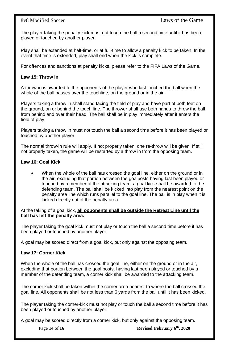The player taking the penalty kick must not touch the ball a second time until it has been played or touched by another player.

Play shall be extended at half-time, or at full-time to allow a penalty kick to be taken. In the event that time is extended, play shall end when the kick is complete.

For offences and sanctions at penalty kicks, please refer to the FIFA Laws of the Game.

#### **Law 15: Throw in**

A throw-in is awarded to the opponents of the player who last touched the ball when the whole of the ball passes over the touchline, on the ground or in the air.

Players taking a throw in shall stand facing the field of play and have part of both feet on the ground, on or behind the touch line. The thrower shall use both hands to throw the ball from behind and over their head. The ball shall be in play immediately after it enters the field of play.

Players taking a throw in must not touch the ball a second time before it has been played or touched by another player.

The normal throw-in rule will apply. If not properly taken, one re-throw will be given. If still not properly taken, the game will be restarted by a throw in from the opposing team.

#### **Law 16: Goal Kick**

• When the whole of the ball has crossed the goal line, either on the ground or in the air, excluding that portion between the goalposts having last been played or touched by a member of the attacking team, a goal kick shall be awarded to the defending team. The ball shall be kicked into play from the nearest point on the penalty area line which runs parallel to the goal line. The ball is in play when it is kicked directly out of the penalty area

At the taking of a goal kick, **all opponents shall be outside the Retreat Line until the ball has left the penalty area.**

The player taking the goal kick must not play or touch the ball a second time before it has been played or touched by another player.

A goal may be scored direct from a goal kick, but only against the opposing team.

#### **Law 17: Corner Kick**

When the whole of the ball has crossed the goal line, either on the ground or in the air, excluding that portion between the goal posts, having last been played or touched by a member of the defending team, a corner kick shall be awarded to the attacking team.

The corner kick shall be taken within the corner area nearest to where the ball crossed the goal line. All opponents shall be not less than 6 yards from the ball until it has been kicked.

The player taking the corner-kick must not play or touch the ball a second time before it has been played or touched by another player.

A goal may be scored directly from a corner kick, but only against the opposing team.

**Revised February 6<sup>th</sup>, 2020**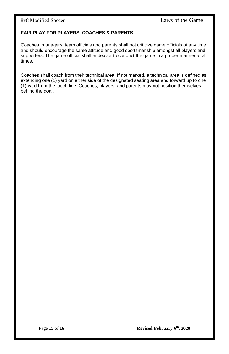### **FAIR PLAY FOR PLAYERS, COACHES & PARENTS**

Coaches, managers, team officials and parents shall not criticize game officials at any time and should encourage the same attitude and good sportsmanship amongst all players and supporters. The game official shall endeavor to conduct the game in a proper manner at all times.

Coaches shall coach from their technical area. If not marked, a technical area is defined as extending one (1) yard on either side of the designated seating area and forward up to one (1) yard from the touch line. Coaches, players, and parents may not position themselves behind the goal.